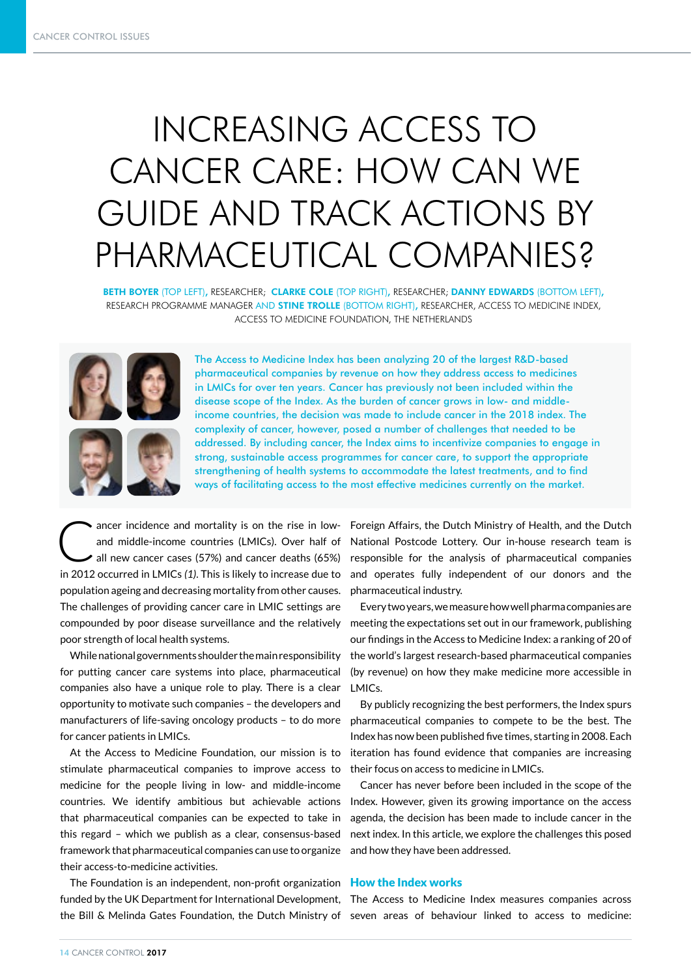# INCREASING ACCESS TO CANCER CARE: HOW CAN WE GUIDE AND TRACK ACTIONS BY PHARMACEUTICAL COMPANIES?

BETH BOYER (TOP LEFT), RESEARCHER; CLARKE COLE (TOP RIGHT), RESEARCHER; DANNY EDWARDS (BOTTOM LEFT), RESEARCH PROGRAMME MANAGER AND **STINE TROLLE** (BOTTOM RIGHT), RESEARCHER, ACCESS TO MEDICINE INDEX, ACCESS TO MEDICINE FOUNDATION, THE NETHERLANDS





The Access to Medicine Index has been analyzing 20 of the largest R&D-based pharmaceutical companies by revenue on how they address access to medicines in LMICs for over ten years. Cancer has previously not been included within the disease scope of the Index. As the burden of cancer grows in low- and middleincome countries, the decision was made to include cancer in the 2018 index. The complexity of cancer, however, posed a number of challenges that needed to be addressed. By including cancer, the Index aims to incentivize companies to engage in strong, sustainable access programmes for cancer care, to support the appropriate strengthening of health systems to accommodate the latest treatments, and to find ways of facilitating access to the most effective medicines currently on the market.

 $\bullet$  ancer incidence and mortality is on the rise in lowand middle-income countries (LMICs). Over half of all new cancer cases (57%) and cancer deaths (65%) in 2012 occurred in LMICs *(1)*. This is likely to increase due to population ageing and decreasing mortality from other causes. The challenges of providing cancer care in LMIC settings are compounded by poor disease surveillance and the relatively poor strength of local health systems.

While national governments shoulder the main responsibility for putting cancer care systems into place, pharmaceutical companies also have a unique role to play. There is a clear opportunity to motivate such companies – the developers and manufacturers of life-saving oncology products – to do more for cancer patients in LMICs.

At the Access to Medicine Foundation, our mission is to stimulate pharmaceutical companies to improve access to medicine for the people living in low- and middle-income countries. We identify ambitious but achievable actions that pharmaceutical companies can be expected to take in this regard – which we publish as a clear, consensus-based framework that pharmaceutical companies can use to organize their access-to-medicine activities.

The Foundation is an independent, non-profit organization How the Index works funded by the UK Department for International Development, The Access to Medicine Index measures companies across the Bill & Melinda Gates Foundation, the Dutch Ministry of seven areas of behaviour linked to access to medicine:

Foreign Affairs, the Dutch Ministry of Health, and the Dutch National Postcode Lottery. Our in-house research team is responsible for the analysis of pharmaceutical companies and operates fully independent of our donors and the pharmaceutical industry.

Every two years, we measure how well pharma companies are meeting the expectations set out in our framework, publishing our findings in the Access to Medicine Index: a ranking of 20 of the world's largest research-based pharmaceutical companies (by revenue) on how they make medicine more accessible in LMICs.

By publicly recognizing the best performers, the Index spurs pharmaceutical companies to compete to be the best. The Index has now been published five times, starting in 2008. Each iteration has found evidence that companies are increasing their focus on access to medicine in LMICs.

Cancer has never before been included in the scope of the Index. However, given its growing importance on the access agenda, the decision has been made to include cancer in the next index. In this article, we explore the challenges this posed and how they have been addressed.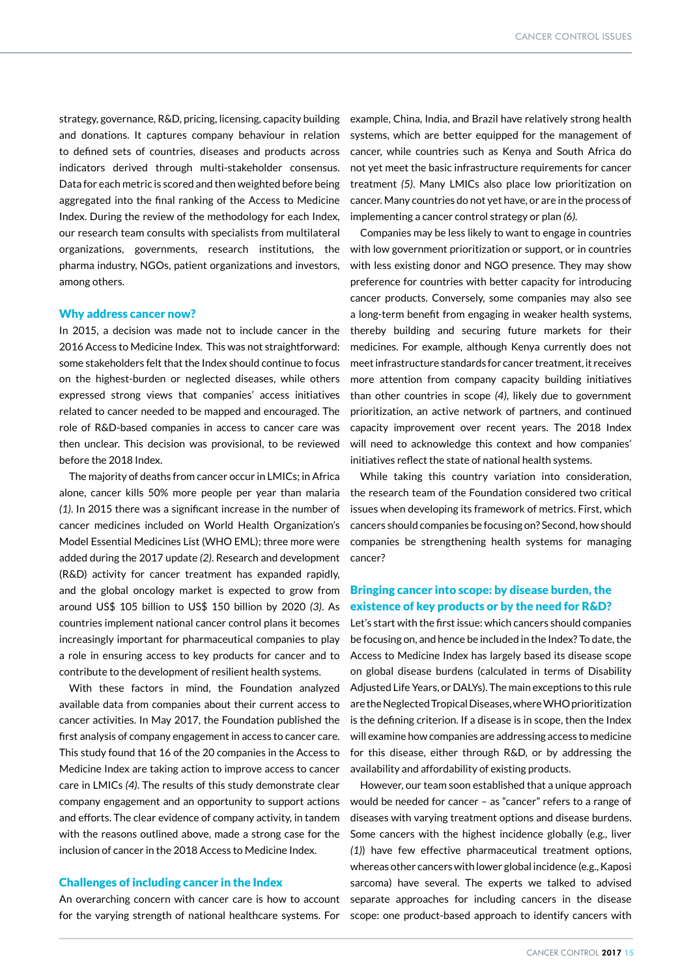strategy, governance, R&D, pricing, licensing, capacity building and donations. It captures company behaviour in relation to defined sets of countries, diseases and products across indicators derived through multi-stakeholder consensus. Data for each metric is scored and then weighted before being aggregated into the final ranking of the Access to Medicine Index. During the review of the methodology for each Index, our research team consults with specialists from multilateral organizations, governments, research institutions, the pharma industry, NGOs, patient organizations and investors, among others.

### Why address cancer now?

In 2015, a decision was made not to include cancer in the 2016 Access to Medicine Index. This was not straightforward: some stakeholders felt that the Index should continue to focus on the highest-burden or neglected diseases, while others expressed strong views that companies' access initiatives related to cancer needed to be mapped and encouraged. The role of R&D-based companies in access to cancer care was then unclear. This decision was provisional, to be reviewed before the 2018 Index.

The majority of deaths from cancer occur in LMICs; in Africa alone, cancer kills 50% more people per year than malaria *(1)*. In 2015 there was a significant increase in the number of cancer medicines included on World Health Organization's Model Essential Medicines List (WHO EML); three more were added during the 2017 update *(2)*. Research and development (R&D) activity for cancer treatment has expanded rapidly, and the global oncology market is expected to grow from around US\$ 105 billion to US\$ 150 billion by 2020 *(3)*. As countries implement national cancer control plans it becomes increasingly important for pharmaceutical companies to play a role in ensuring access to key products for cancer and to contribute to the development of resilient health systems.

With these factors in mind, the Foundation analyzed available data from companies about their current access to cancer activities. In May 2017, the Foundation published the first analysis of company engagement in access to cancer care. This study found that 16 of the 20 companies in the Access to Medicine Index are taking action to improve access to cancer care in LMICs *(4)*. The results of this study demonstrate clear company engagement and an opportunity to support actions and efforts. The clear evidence of company activity, in tandem with the reasons outlined above, made a strong case for the inclusion of cancer in the 2018 Access to Medicine Index.

# Challenges of including cancer in the Index

An overarching concern with cancer care is how to account for the varying strength of national healthcare systems. For

example, China, India, and Brazil have relatively strong health systems, which are better equipped for the management of cancer, while countries such as Kenya and South Africa do not yet meet the basic infrastructure requirements for cancer treatment *(5)*. Many LMICs also place low prioritization on cancer. Many countries do not yet have, or are in the process of implementing a cancer control strategy or plan *(6)*.

Companies may be less likely to want to engage in countries with low government prioritization or support, or in countries with less existing donor and NGO presence. They may show preference for countries with better capacity for introducing cancer products. Conversely, some companies may also see a long-term benefit from engaging in weaker health systems, thereby building and securing future markets for their medicines. For example, although Kenya currently does not meet infrastructure standards for cancer treatment, it receives more attention from company capacity building initiatives than other countries in scope *(4)*, likely due to government prioritization, an active network of partners, and continued capacity improvement over recent years. The 2018 Index will need to acknowledge this context and how companies' initiatives reflect the state of national health systems.

While taking this country variation into consideration, the research team of the Foundation considered two critical issues when developing its framework of metrics. First, which cancers should companies be focusing on? Second, how should companies be strengthening health systems for managing cancer?

# Bringing cancer into scope: by disease burden, the existence of key products or by the need for R&D?

Let's start with the first issue: which cancers should companies be focusing on, and hence be included in the Index? To date, the Access to Medicine Index has largely based its disease scope on global disease burdens (calculated in terms of Disability Adjusted Life Years, or DALYs). The main exceptions to this rule are the Neglected Tropical Diseases, where WHO prioritization is the defining criterion. If a disease is in scope, then the Index will examine how companies are addressing access to medicine for this disease, either through R&D, or by addressing the availability and affordability of existing products.

However, our team soon established that a unique approach would be needed for cancer – as "cancer" refers to a range of diseases with varying treatment options and disease burdens. Some cancers with the highest incidence globally (e.g., liver *(1)*) have few effective pharmaceutical treatment options, whereas other cancers with lower global incidence (e.g., Kaposi sarcoma) have several. The experts we talked to advised separate approaches for including cancers in the disease scope: one product-based approach to identify cancers with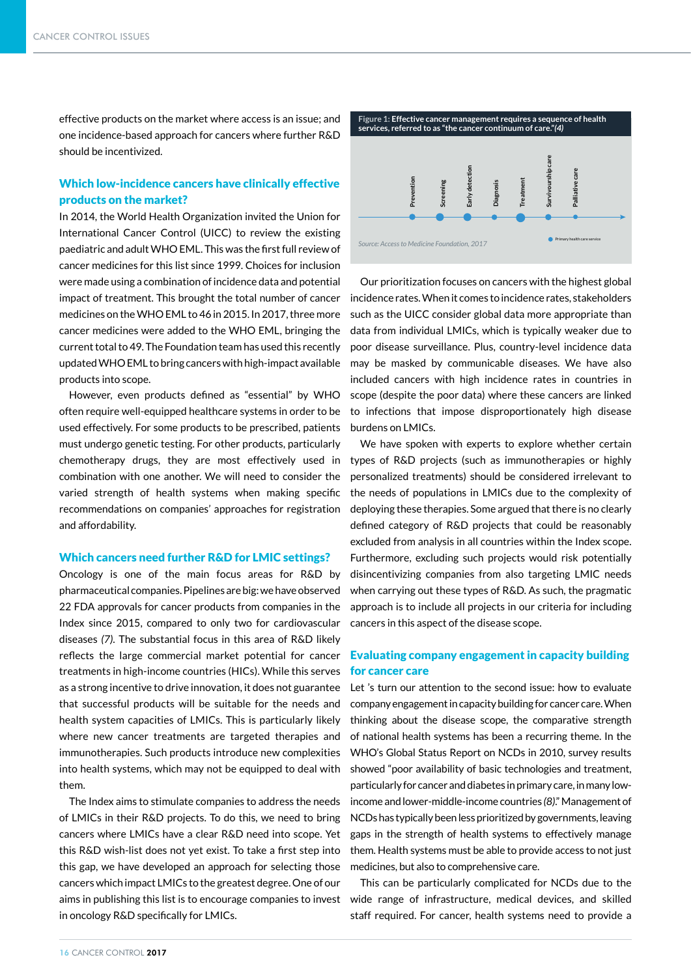effective products on the market where access is an issue; and one incidence-based approach for cancers where further R&D should be incentivized.

# Which low-incidence cancers have clinically effective products on the market?

In 2014, the World Health Organization invited the Union for International Cancer Control (UICC) to review the existing paediatric and adult WHO EML. This was the first full review of cancer medicines for this list since 1999. Choices for inclusion were made using a combination of incidence data and potential impact of treatment. This brought the total number of cancer medicines on the WHO EML to 46 in 2015. In 2017, three more cancer medicines were added to the WHO EML, bringing the current total to 49. The Foundation team has used this recently updated WHO EML to bring cancers with high-impact available products into scope.

However, even products defined as "essential" by WHO often require well-equipped healthcare systems in order to be used effectively. For some products to be prescribed, patients must undergo genetic testing. For other products, particularly chemotherapy drugs, they are most effectively used in combination with one another. We will need to consider the varied strength of health systems when making specific recommendations on companies' approaches for registration and affordability.

#### Which cancers need further R&D for LMIC settings?

Oncology is one of the main focus areas for R&D by pharmaceutical companies. Pipelines are big: we have observed 22 FDA approvals for cancer products from companies in the Index since 2015, compared to only two for cardiovascular diseases *(7)*. The substantial focus in this area of R&D likely reflects the large commercial market potential for cancer treatments in high-income countries (HICs). While this serves as a strong incentive to drive innovation, it does not guarantee that successful products will be suitable for the needs and health system capacities of LMICs. This is particularly likely where new cancer treatments are targeted therapies and immunotherapies. Such products introduce new complexities into health systems, which may not be equipped to deal with them.

The Index aims to stimulate companies to address the needs of LMICs in their R&D projects. To do this, we need to bring cancers where LMICs have a clear R&D need into scope. Yet this R&D wish-list does not yet exist. To take a first step into this gap, we have developed an approach for selecting those cancers which impact LMICs to the greatest degree. One of our aims in publishing this list is to encourage companies to invest in oncology R&D specifically for LMICs.



Our prioritization focuses on cancers with the highest global incidence rates. When it comes to incidence rates, stakeholders such as the UICC consider global data more appropriate than data from individual LMICs, which is typically weaker due to poor disease surveillance. Plus, country-level incidence data may be masked by communicable diseases. We have also included cancers with high incidence rates in countries in scope (despite the poor data) where these cancers are linked to infections that impose disproportionately high disease burdens on LMICs.

We have spoken with experts to explore whether certain types of R&D projects (such as immunotherapies or highly personalized treatments) should be considered irrelevant to the needs of populations in LMICs due to the complexity of deploying these therapies. Some argued that there is no clearly defined category of R&D projects that could be reasonably excluded from analysis in all countries within the Index scope. Furthermore, excluding such projects would risk potentially disincentivizing companies from also targeting LMIC needs when carrying out these types of R&D. As such, the pragmatic approach is to include all projects in our criteria for including cancers in this aspect of the disease scope.

# Evaluating company engagement in capacity building for cancer care

Let 's turn our attention to the second issue: how to evaluate company engagement in capacity building for cancer care. When thinking about the disease scope, the comparative strength of national health systems has been a recurring theme. In the WHO's Global Status Report on NCDs in 2010, survey results showed "poor availability of basic technologies and treatment, particularly for cancer and diabetes in primary care, in many lowincome and lower-middle-income countries *(8)*." Management of NCDs has typically been less prioritized by governments, leaving gaps in the strength of health systems to effectively manage them. Health systems must be able to provide access to not just medicines, but also to comprehensive care.

This can be particularly complicated for NCDs due to the wide range of infrastructure, medical devices, and skilled staff required. For cancer, health systems need to provide a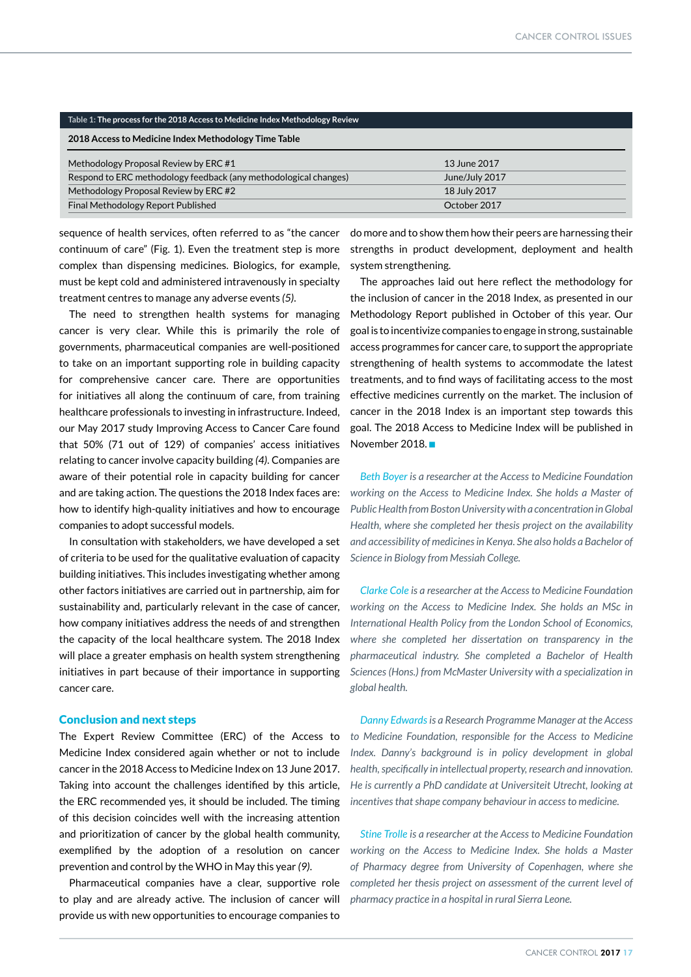| Table 1: The process for the 2018 Access to Medicine Index Methodology Review |                |
|-------------------------------------------------------------------------------|----------------|
| 2018 Access to Medicine Index Methodology Time Table                          |                |
| Methodology Proposal Review by ERC #1                                         | 13 June 2017   |
| Respond to ERC methodology feedback (any methodological changes)              | June/July 2017 |
| Methodology Proposal Review by ERC #2                                         | 18 July 2017   |
| Final Methodology Report Published                                            | October 2017   |

sequence of health services, often referred to as "the cancer continuum of care" (Fig. 1). Even the treatment step is more complex than dispensing medicines. Biologics, for example, must be kept cold and administered intravenously in specialty treatment centres to manage any adverse events *(5)*.

The need to strengthen health systems for managing cancer is very clear. While this is primarily the role of governments, pharmaceutical companies are well-positioned to take on an important supporting role in building capacity for comprehensive cancer care. There are opportunities for initiatives all along the continuum of care, from training healthcare professionals to investing in infrastructure. Indeed, our May 2017 study Improving Access to Cancer Care found that 50% (71 out of 129) of companies' access initiatives relating to cancer involve capacity building *(4)*. Companies are aware of their potential role in capacity building for cancer and are taking action. The questions the 2018 Index faces are: how to identify high-quality initiatives and how to encourage companies to adopt successful models.

In consultation with stakeholders, we have developed a set of criteria to be used for the qualitative evaluation of capacity building initiatives. This includes investigating whether among other factors initiatives are carried out in partnership, aim for sustainability and, particularly relevant in the case of cancer, how company initiatives address the needs of and strengthen the capacity of the local healthcare system. The 2018 Index will place a greater emphasis on health system strengthening initiatives in part because of their importance in supporting cancer care.

# Conclusion and next steps

The Expert Review Committee (ERC) of the Access to Medicine Index considered again whether or not to include cancer in the 2018 Access to Medicine Index on 13 June 2017. Taking into account the challenges identified by this article, the ERC recommended yes, it should be included. The timing of this decision coincides well with the increasing attention and prioritization of cancer by the global health community, exemplified by the adoption of a resolution on cancer prevention and control by the WHO in May this year *(9)*.

Pharmaceutical companies have a clear, supportive role to play and are already active. The inclusion of cancer will provide us with new opportunities to encourage companies to

do more and to show them how their peers are harnessing their strengths in product development, deployment and health system strengthening.

The approaches laid out here reflect the methodology for the inclusion of cancer in the 2018 Index, as presented in our Methodology Report published in October of this year. Our goal is to incentivize companies to engage in strong, sustainable access programmes for cancer care, to support the appropriate strengthening of health systems to accommodate the latest treatments, and to find ways of facilitating access to the most effective medicines currently on the market. The inclusion of cancer in the 2018 Index is an important step towards this goal. The 2018 Access to Medicine Index will be published in November 2018.

*Beth Boyer is a researcher at the Access to Medicine Foundation working on the Access to Medicine Index. She holds a Master of Public Health from Boston University with a concentration in Global Health, where she completed her thesis project on the availability and accessibility of medicines in Kenya. She also holds a Bachelor of Science in Biology from Messiah College.* 

*Clarke Cole is a researcher at the Access to Medicine Foundation working on the Access to Medicine Index. She holds an MSc in International Health Policy from the London School of Economics, where she completed her dissertation on transparency in the pharmaceutical industry. She completed a Bachelor of Health Sciences (Hons.) from McMaster University with a specialization in global health.*

*Danny Edwards is a Research Programme Manager at the Access to Medicine Foundation, responsible for the Access to Medicine Index. Danny's background is in policy development in global health, specifically in intellectual property, research and innovation. He is currently a PhD candidate at Universiteit Utrecht, looking at incentives that shape company behaviour in access to medicine.*

*Stine Trolle is a researcher at the Access to Medicine Foundation working on the Access to Medicine Index. She holds a Master of Pharmacy degree from University of Copenhagen, where she completed her thesis project on assessment of the current level of pharmacy practice in a hospital in rural Sierra Leone.*